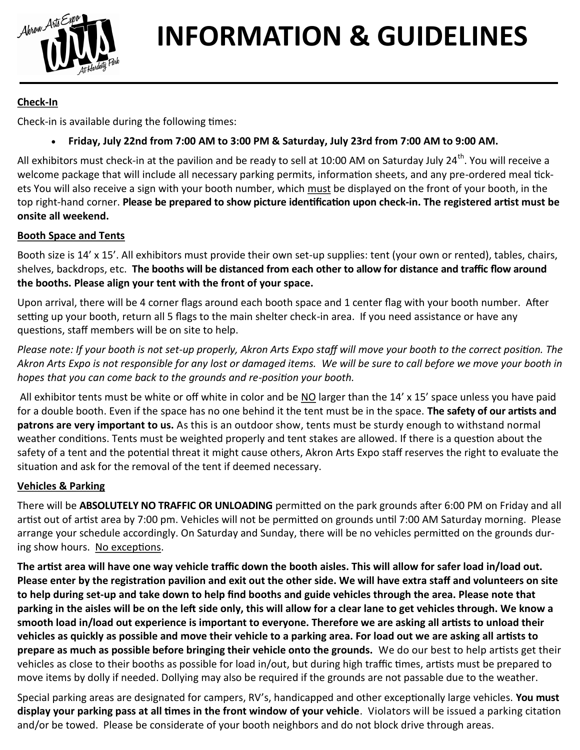

# **INFORMATION & GUIDELINES**

# **Check-In**

Check-in is available during the following times:

**Friday, July 22nd from 7:00 AM to 3:00 PM & Saturday, July 23rd from 7:00 AM to 9:00 AM.** 

All exhibitors must check-in at the pavilion and be ready to sell at 10:00 AM on Saturday July 24<sup>th</sup>. You will receive a welcome package that will include all necessary parking permits, information sheets, and any pre-ordered meal tickets You will also receive a sign with your booth number, which must be displayed on the front of your booth, in the top right-hand corner. **Please be prepared to show picture identification upon check-in. The registered artist must be onsite all weekend.** 

## **Booth Space and Tents**

Booth size is 14' x 15'. All exhibitors must provide their own set-up supplies: tent (your own or rented), tables, chairs, shelves, backdrops, etc. **The booths will be distanced from each other to allow for distance and traffic flow around the booths. Please align your tent with the front of your space.** 

Upon arrival, there will be 4 corner flags around each booth space and 1 center flag with your booth number. After setting up your booth, return all 5 flags to the main shelter check-in area. If you need assistance or have any questions, staff members will be on site to help.

*Please note: If your booth is not set-up properly, Akron Arts Expo staff will move your booth to the correct position. The Akron Arts Expo is not responsible for any lost or damaged items. We will be sure to call before we move your booth in hopes that you can come back to the grounds and re-position your booth.* 

All exhibitor tents must be white or off white in color and be NO larger than the 14' x 15' space unless you have paid for a double booth. Even if the space has no one behind it the tent must be in the space. **The safety of our artists and patrons are very important to us.** As this is an outdoor show, tents must be sturdy enough to withstand normal weather conditions. Tents must be weighted properly and tent stakes are allowed. If there is a question about the safety of a tent and the potential threat it might cause others, Akron Arts Expo staff reserves the right to evaluate the situation and ask for the removal of the tent if deemed necessary.

## **Vehicles & Parking**

There will be **ABSOLUTELY NO TRAFFIC OR UNLOADING** permitted on the park grounds after 6:00 PM on Friday and all artist out of artist area by 7:00 pm. Vehicles will not be permitted on grounds until 7:00 AM Saturday morning. Please arrange your schedule accordingly. On Saturday and Sunday, there will be no vehicles permitted on the grounds during show hours. No exceptions.

**The artist area will have one way vehicle traffic down the booth aisles. This will allow for safer load in/load out. Please enter by the registration pavilion and exit out the other side. We will have extra staff and volunteers on site to help during set-up and take down to help find booths and guide vehicles through the area. Please note that parking in the aisles will be on the left side only, this will allow for a clear lane to get vehicles through. We know a smooth load in/load out experience is important to everyone. Therefore we are asking all artists to unload their vehicles as quickly as possible and move their vehicle to a parking area. For load out we are asking all artists to prepare as much as possible before bringing their vehicle onto the grounds.** We do our best to help artists get their vehicles as close to their booths as possible for load in/out, but during high traffic times, artists must be prepared to move items by dolly if needed. Dollying may also be required if the grounds are not passable due to the weather.

Special parking areas are designated for campers, RV's, handicapped and other exceptionally large vehicles. **You must display your parking pass at all times in the front window of your vehicle**. Violators will be issued a parking citation and/or be towed. Please be considerate of your booth neighbors and do not block drive through areas.